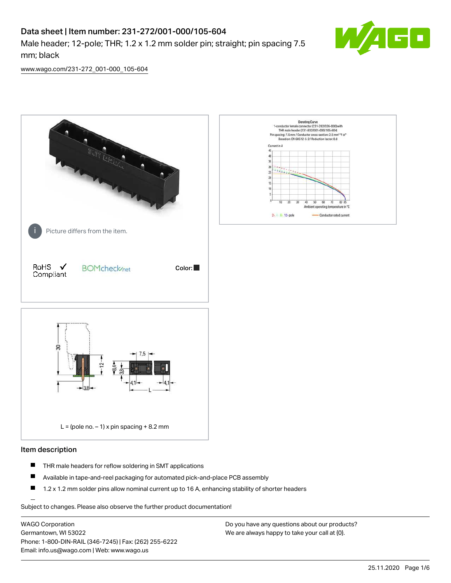# Data sheet | Item number: 231-272/001-000/105-604

Male header; 12-pole; THR; 1.2 x 1.2 mm solder pin; straight; pin spacing 7.5 mm; black



[www.wago.com/231-272\\_001-000\\_105-604](http://www.wago.com/231-272_001-000_105-604)



#### Item description

- $\blacksquare$ THR male headers for reflow soldering in SMT applications
- $\blacksquare$ Available in tape-and-reel packaging for automated pick-and-place PCB assembly
- $\blacksquare$ 1.2 x 1.2 mm solder pins allow nominal current up to 16 A, enhancing stability of shorter headers

Subject to changes. Please also observe the further product documentation!

WAGO Corporation Germantown, WI 53022 Phone: 1-800-DIN-RAIL (346-7245) | Fax: (262) 255-6222 Email: info.us@wago.com | Web: www.wago.us

Do you have any questions about our products? We are always happy to take your call at {0}.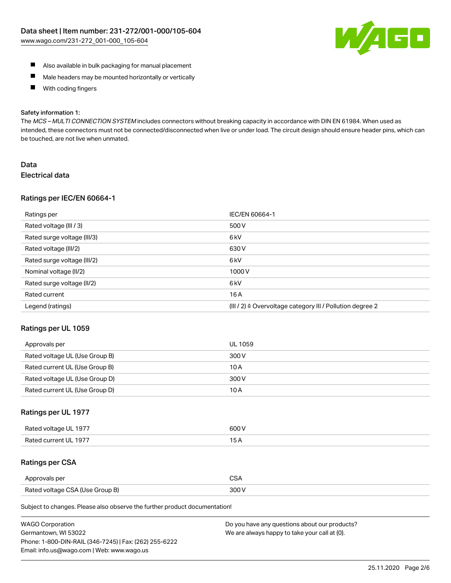

- Also available in bulk packaging for manual placement
- $\blacksquare$ Male headers may be mounted horizontally or vertically
- With coding fingers  $\blacksquare$

#### Safety information 1:

The MCS-MULTI CONNECTION SYSTEM includes connectors without breaking capacity in accordance with DIN EN 61984. When used as intended, these connectors must not be connected/disconnected when live or under load. The circuit design should ensure header pins, which can be touched, are not live when unmated.

## Data Electrical data

#### Ratings per IEC/EN 60664-1

| Ratings per                 | IEC/EN 60664-1                                                        |
|-----------------------------|-----------------------------------------------------------------------|
| Rated voltage (III / 3)     | 500 V                                                                 |
| Rated surge voltage (III/3) | 6 <sub>k</sub> V                                                      |
| Rated voltage (III/2)       | 630 V                                                                 |
| Rated surge voltage (III/2) | 6 <sub>k</sub> V                                                      |
| Nominal voltage (II/2)      | 1000V                                                                 |
| Rated surge voltage (II/2)  | 6 <sub>k</sub> V                                                      |
| Rated current               | 16A                                                                   |
| Legend (ratings)            | $(III / 2)$ $\triangle$ Overvoltage category III / Pollution degree 2 |

#### Ratings per UL 1059

| Approvals per                  | UL 1059 |
|--------------------------------|---------|
| Rated voltage UL (Use Group B) | 300 V   |
| Rated current UL (Use Group B) | 10 A    |
| Rated voltage UL (Use Group D) | 300 V   |
| Rated current UL (Use Group D) | 10 A    |

## Ratings per UL 1977

| Rated voltage UL 1977 | 600 V         |
|-----------------------|---------------|
| Rated current UL 1977 | $\sim$ $\sim$ |

## Ratings per CSA

| Approvals per                   | ົ |
|---------------------------------|---|
| Rated voltage CSA (Use Group B) |   |

Subject to changes. Please also observe the further product documentation!

| <b>WAGO Corporation</b>                                | Do you have any questions about our products? |
|--------------------------------------------------------|-----------------------------------------------|
| Germantown, WI 53022                                   | We are always happy to take your call at {0}. |
| Phone: 1-800-DIN-RAIL (346-7245)   Fax: (262) 255-6222 |                                               |
| Email: info.us@wago.com   Web: www.wago.us             |                                               |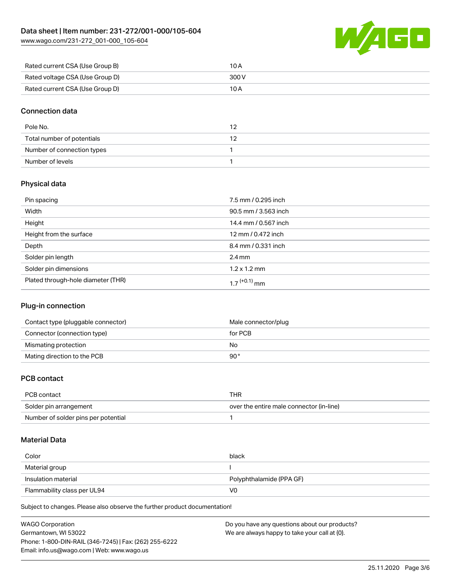[www.wago.com/231-272\\_001-000\\_105-604](http://www.wago.com/231-272_001-000_105-604)



| Rated current CSA (Use Group B) | 10 A  |
|---------------------------------|-------|
| Rated voltage CSA (Use Group D) | 300 V |
| Rated current CSA (Use Group D) | 10 A  |

## Connection data

| Pole No.                   |  |
|----------------------------|--|
| Total number of potentials |  |
| Number of connection types |  |
| Number of levels           |  |

## Physical data

| Pin spacing                        | 7.5 mm / 0.295 inch  |
|------------------------------------|----------------------|
| Width                              | 90.5 mm / 3.563 inch |
| Height                             | 14.4 mm / 0.567 inch |
| Height from the surface            | 12 mm / 0.472 inch   |
| Depth                              | 8.4 mm / 0.331 inch  |
| Solder pin length                  | $2.4 \text{ mm}$     |
| Solder pin dimensions              | $1.2 \times 1.2$ mm  |
| Plated through-hole diameter (THR) | 1 7 $(+0.1)$ mm      |

## Plug-in connection

| Contact type (pluggable connector) | Male connector/plug |
|------------------------------------|---------------------|
| Connector (connection type)        | for PCB             |
| Mismating protection               | No                  |
| Mating direction to the PCB        | 90°                 |

## PCB contact

| PCB contact                         | THR                                      |
|-------------------------------------|------------------------------------------|
| Solder pin arrangement              | over the entire male connector (in-line) |
| Number of solder pins per potential |                                          |

#### Material Data

| Color                       | black                    |
|-----------------------------|--------------------------|
| Material group              |                          |
| Insulation material         | Polyphthalamide (PPA GF) |
| Flammability class per UL94 | V0                       |

Subject to changes. Please also observe the further product documentation!

| <b>WAGO Corporation</b>                                | Do you have any questions about our products? |
|--------------------------------------------------------|-----------------------------------------------|
| Germantown, WI 53022                                   | We are always happy to take your call at {0}. |
| Phone: 1-800-DIN-RAIL (346-7245)   Fax: (262) 255-6222 |                                               |
| Email: info.us@wago.com   Web: www.wago.us             |                                               |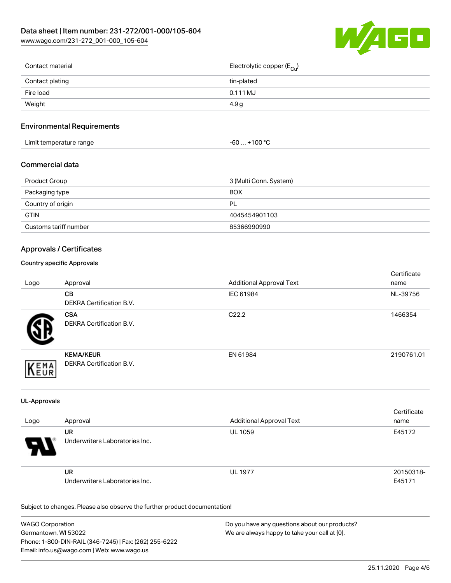

| Contact material | Electrolytic copper (E <sub>Cu</sub> ) |
|------------------|----------------------------------------|
| Contact plating  | tin-plated                             |
| Fire load        | $0.111$ MJ                             |
| Weight           | 4.9 g                                  |
|                  |                                        |

## Environmental Requirements

| Limit temperature range | $+100 °C$<br>-60  > |
|-------------------------|---------------------|
|-------------------------|---------------------|

### Commercial data

| Product Group         | 3 (Multi Conn. System) |  |
|-----------------------|------------------------|--|
| Packaging type        | <b>BOX</b>             |  |
| Country of origin     | PL                     |  |
| <b>GTIN</b>           | 4045454901103          |  |
| Customs tariff number | 85366990990            |  |

## Approvals / Certificates

#### Country specific Approvals

| Logo | Approval                                            | <b>Additional Approval Text</b> | Certificate<br>name |
|------|-----------------------------------------------------|---------------------------------|---------------------|
|      | <b>CB</b><br><b>DEKRA Certification B.V.</b>        | IEC 61984                       | NL-39756            |
|      | <b>CSA</b><br>DEKRA Certification B.V.              | C <sub>22.2</sub>               | 1466354             |
| EMA  | <b>KEMA/KEUR</b><br><b>DEKRA Certification B.V.</b> | EN 61984                        | 2190761.01          |

#### UL-Approvals

| Logo | Approval                                    | <b>Additional Approval Text</b> | Certificate<br>name |
|------|---------------------------------------------|---------------------------------|---------------------|
| Э.   | UR<br>Underwriters Laboratories Inc.        | <b>UL 1059</b>                  | E45172              |
|      | <b>UR</b><br>Underwriters Laboratories Inc. | <b>UL 1977</b>                  | 20150318-<br>E45171 |

Subject to changes. Please also observe the further product documentation!

| <b>WAGO Corporation</b>                                | Do you have any questions about our products? |
|--------------------------------------------------------|-----------------------------------------------|
| Germantown, WI 53022                                   | We are always happy to take your call at {0}. |
| Phone: 1-800-DIN-RAIL (346-7245)   Fax: (262) 255-6222 |                                               |
| Email: info.us@wago.com   Web: www.wago.us             |                                               |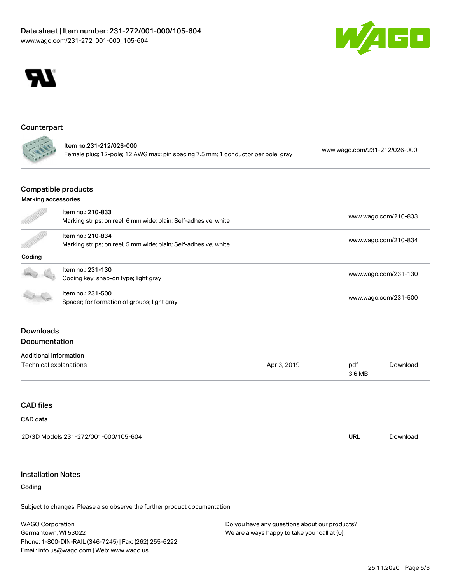



## Counterpart

| Item no.231-212/026-000                                                          | www.wago.com/231-212/026-000 |
|----------------------------------------------------------------------------------|------------------------------|
| Female plug; 12-pole; 12 AWG max; pin spacing 7.5 mm; 1 conductor per pole; gray |                              |

#### Compatible products

## Marking accessories

|                               | Item no.: 210-833                                               |             |                      | www.wago.com/210-833 |  |
|-------------------------------|-----------------------------------------------------------------|-------------|----------------------|----------------------|--|
|                               | Marking strips; on reel; 6 mm wide; plain; Self-adhesive; white |             |                      |                      |  |
|                               | Item no.: 210-834                                               |             |                      |                      |  |
|                               | Marking strips; on reel; 5 mm wide; plain; Self-adhesive; white |             |                      | www.wago.com/210-834 |  |
| Coding                        |                                                                 |             |                      |                      |  |
|                               | Item no.: 231-130                                               |             | www.wago.com/231-130 |                      |  |
|                               | Coding key; snap-on type; light gray                            |             |                      |                      |  |
|                               | Item no.: 231-500                                               |             |                      |                      |  |
|                               | Spacer; for formation of groups; light gray                     |             | www.wago.com/231-500 |                      |  |
|                               |                                                                 |             |                      |                      |  |
| <b>Downloads</b>              |                                                                 |             |                      |                      |  |
| Documentation                 |                                                                 |             |                      |                      |  |
| <b>Additional Information</b> |                                                                 |             |                      |                      |  |
| Technical explanations        |                                                                 | Apr 3, 2019 | pdf<br>3.6 MB        | Download             |  |
|                               |                                                                 |             |                      |                      |  |
| <b>CAD files</b>              |                                                                 |             |                      |                      |  |
| CAD data                      |                                                                 |             |                      |                      |  |
|                               | 2D/3D Models 231-272/001-000/105-604                            |             | URL                  | Download             |  |
|                               |                                                                 |             |                      |                      |  |

## Installation Notes

## Coding

Subject to changes. Please also observe the further product documentation!

WAGO Corporation Germantown, WI 53022 Phone: 1-800-DIN-RAIL (346-7245) | Fax: (262) 255-6222 Email: info.us@wago.com | Web: www.wago.us

Do you have any questions about our products? We are always happy to take your call at {0}.